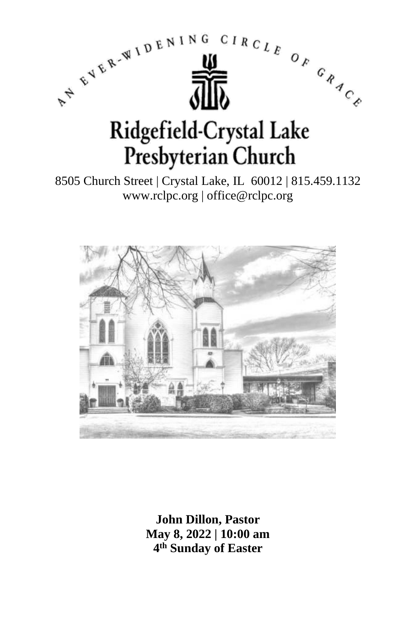

8505 Church Street | Crystal Lake, IL 60012 | 815.459.1132 www.rclpc.org | office@rclpc.org



**John Dillon, Pastor May 8, 2022 | 10:00 am 4 th Sunday of Easter**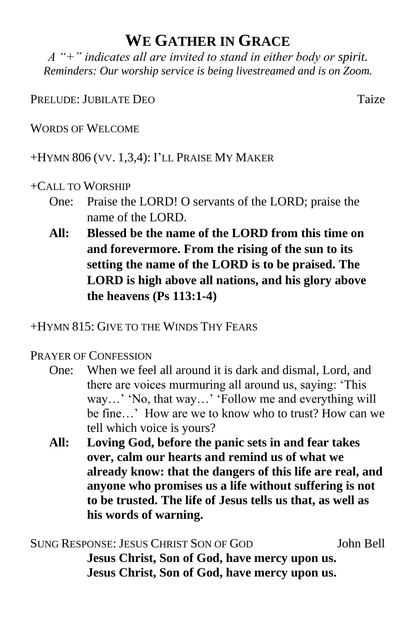## **WE GATHER IN GRACE**

*A "+" indicates all are invited to stand in either body or spirit. Reminders: Our worship service is being livestreamed and is on Zoom.*

#### PRELUDE: JUBILATE DEO TAIZE

WORDS OF WELCOME

+HYMN 806 (VV. 1,3,4): I'LL PRAISE MY MAKER

### +CALL TO WORSHIP

- One: Praise the LORD! O servants of the LORD; praise the name of the LORD.
- **All: Blessed be the name of the LORD from this time on and forevermore. From the rising of the sun to its setting the name of the LORD is to be praised. The LORD is high above all nations, and his glory above the heavens (Ps 113:1-4)**

+HYMN 815: GIVE TO THE WINDS THY FEARS

### PRAYER OF CONFESSION

- One: When we feel all around it is dark and dismal, Lord, and there are voices murmuring all around us, saying: 'This way…' 'No, that way…' 'Follow me and everything will be fine…' How are we to know who to trust? How can we tell which voice is yours?
- **All: Loving God, before the panic sets in and fear takes over, calm our hearts and remind us of what we already know: that the dangers of this life are real, and anyone who promises us a life without suffering is not to be trusted. The life of Jesus tells us that, as well as his words of warning.**

SUNG RESPONSE: JESUS CHRIST SON OF GOD John Bell **Jesus Christ, Son of God, have mercy upon us. Jesus Christ, Son of God, have mercy upon us.**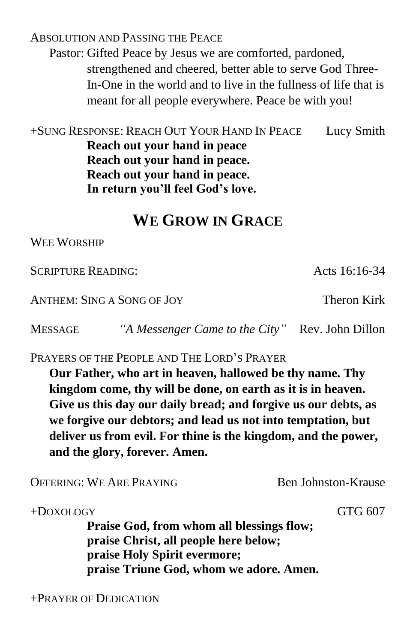ABSOLUTION AND PASSING THE PEACE Pastor: Gifted Peace by Jesus we are comforted, pardoned, strengthened and cheered, better able to serve God Three-In-One in the world and to live in the fullness of life that is meant for all people everywhere. Peace be with you!

+SUNG RESPONSE: REACH OUT YOUR HAND IN PEACE Lucy Smith **Reach out your hand in peace Reach out your hand in peace. Reach out your hand in peace. In return you'll feel God's love.**

## **WE GROW IN GRACE**

WEE WORSHIP

SCRIPTURE READING: Acts 16:16-34

ANTHEM: SING A SONG OF JOY Theron Kirk

MESSAGE *"A Messenger Came to the City"* Rev. John Dillon

PRAYERS OF THE PEOPLE AND THE LORD'S PRAYER

**Our Father, who art in heaven, hallowed be thy name. Thy kingdom come, thy will be done, on earth as it is in heaven. Give us this day our daily bread; and forgive us our debts, as we forgive our debtors; and lead us not into temptation, but deliver us from evil. For thine is the kingdom, and the power, and the glory, forever. Amen.**

OFFERING: WE ARE PRAYING Ben Johnston-Krause

+DOXOLOGY GTG 607

**Praise God, from whom all blessings flow; praise Christ, all people here below; praise Holy Spirit evermore; praise Triune God, whom we adore. Amen.**

+PRAYER OF DEDICATION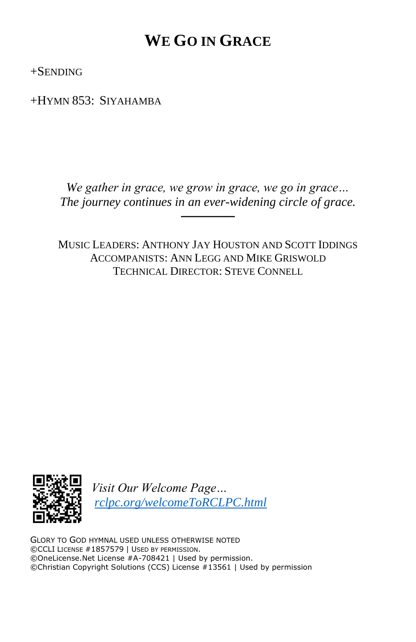# **WE GO IN GRACE**

+SENDING

+HYMN 853: SIYAHAMBA

*We gather in grace, we grow in grace, we go in grace… The journey continues in an ever-widening circle of grace.*

──────

MUSIC LEADERS: ANTHONY JAY HOUSTON AND SCOTT IDDINGS ACCOMPANISTS: ANN LEGG AND MIKE GRISWOLD TECHNICAL DIRECTOR: STEVE CONNELL



*Visit Our Welcome Page… [rclpc.org/welcomeToRCLPC.html](http://rclpc.org/welcomeToRCLPC.html)*

GLORY TO GOD HYMNAL USED UNLESS OTHERWISE NOTED ©CCLI LICENSE #1857579 | USED BY PERMISSION. ©OneLicense.Net License #A-708421 | Used by permission. ©Christian Copyright Solutions (CCS) License #13561 | Used by permission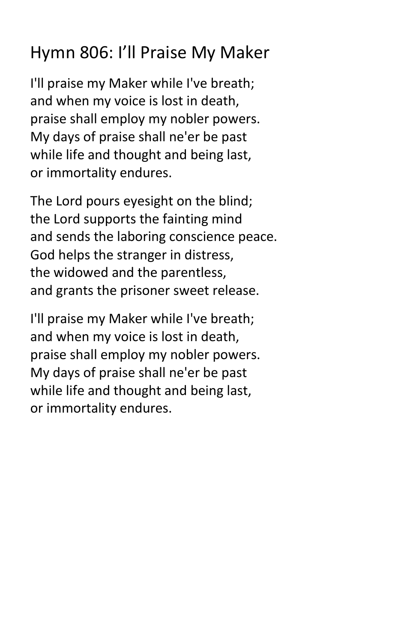# Hymn 806: I'll Praise My Maker

I'll praise my Maker while I've breath; and when my voice is lost in death, praise shall employ my nobler powers. My days of praise shall ne'er be past while life and thought and being last, or immortality endures.

The Lord pours eyesight on the blind; the Lord supports the fainting mind and sends the laboring conscience peace. God helps the stranger in distress, the widowed and the parentless, and grants the prisoner sweet release.

I'll praise my Maker while I've breath; and when my voice is lost in death, praise shall employ my nobler powers. My days of praise shall ne'er be past while life and thought and being last, or immortality endures.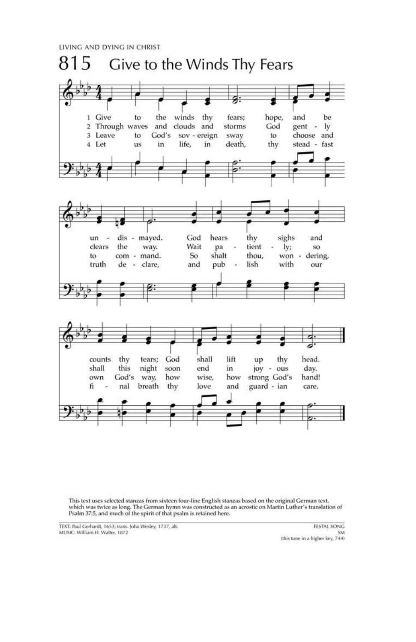LIVING AND DYING IN CHRIST



This text uses selected stanzas from sixteen four-line English stanzas based on the original German text, which was twice as long. The German hymn was constructed as an acrostic on Martin Luther's translation of Psalm 37:5, and much of the spirit of that psalm is retained here.

TEXT: Paul Gerhardt, 1653; trans. John Wesley, 1737, alt. MUSIC: William H. Walter, 1872

FESTAL SONG SM (this tune in a higher key, 744)